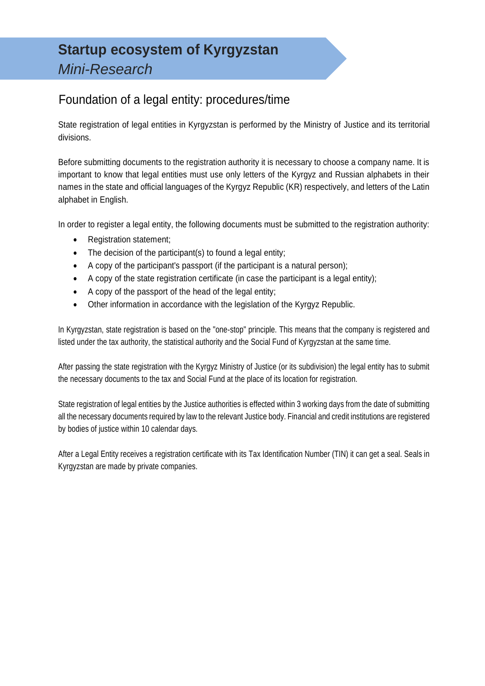## Foundation of a legal entity: procedures/time

State registration of legal entities in Kyrgyzstan is performed by the Ministry of Justice and its territorial divisions.

Before submitting documents to the registration authority it is necessary to choose a company name. It is important to know that legal entities must use only letters of the Kyrgyz and Russian alphabets in their names in the state and official languages of the Kyrgyz Republic (KR) respectively, and letters of the Latin alphabet in English.

In order to register a legal entity, the following documents must be submitted to the registration authority:

- Registration statement;
- The decision of the participant(s) to found a legal entity;
- A copy of the participant's passport (if the participant is a natural person);
- A copy of the state registration certificate (in case the participant is a legal entity);
- A copy of the passport of the head of the legal entity;
- Other information in accordance with the legislation of the Kyrgyz Republic.

In Kyrgyzstan, state registration is based on the "one-stop" principle. This means that the company is registered and listed under the tax authority, the statistical authority and the Social Fund of Kyrgyzstan at the same time.

After passing the state registration with the Kyrgyz Ministry of Justice (or its subdivision) the legal entity has to submit the necessary documents to the tax and Social Fund at the place of its location for registration.

State registration of legal entities by the Justice authorities is effected within 3 working days from the date of submitting all the necessary documents required by law to the relevant Justice body. Financial and credit institutions are registered by bodies of justice within 10 calendar days.

After a Legal Entity receives a registration certificate with its Tax Identification Number (TIN) it can get a seal. Seals in Kyrgyzstan are made by private companies.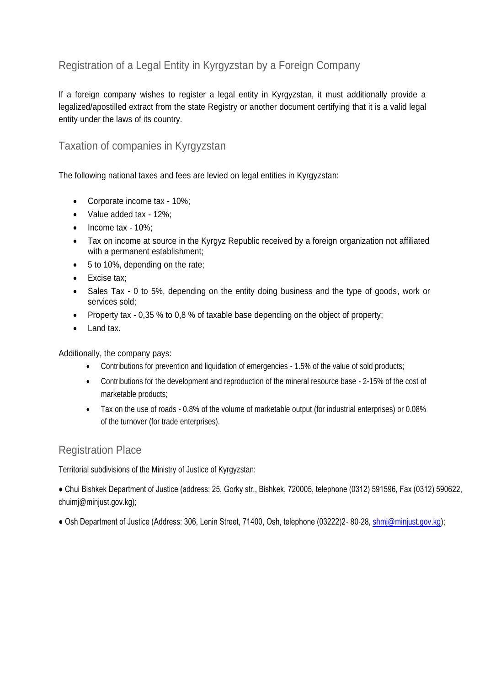### Registration of a Legal Entity in Kyrgyzstan by a Foreign Company

If a foreign company wishes to register a legal entity in Kyrgyzstan, it must additionally provide a legalized/apostilled extract from the state Registry or another document certifying that it is a valid legal entity under the laws of its country.

### Taxation of companies in Kyrgyzstan

The following national taxes and fees are levied on legal entities in Kyrgyzstan:

- Corporate income tax 10%;
- Value added tax 12%;
- $\bullet$  Income tax 10%;
- Tax on income at source in the Kyrgyz Republic received by a foreign organization not affiliated with a permanent establishment;
- 5 to 10%, depending on the rate;
- Excise tax;
- Sales Tax 0 to 5%, depending on the entity doing business and the type of goods, work or services sold;
- Property tax 0,35 % to 0,8 % of taxable base depending on the object of property;
- Land tax.

Additionally, the company pays:

- Contributions for prevention and liquidation of emergencies 1.5% of the value of sold products;
- Contributions for the development and reproduction of the mineral resource base 2-15% of the cost of marketable products;
- Tax on the use of roads 0.8% of the volume of marketable output (for industrial enterprises) or 0.08% of the turnover (for trade enterprises).

### Registration Place

Territorial subdivisions of the Ministry of Justice of Kyrgyzstan:

● Chui Bishkek Department of Justice (address: 25, Gorky str., Bishkek, 720005, telephone (0312) 591596, Fax (0312) 590622, chuimj@minjust.gov.kg);

● Osh Department of Justice (Address: 306, Lenin Street, 71400, Osh, telephone (03222)2- 80-28, [shmj@minjust.gov.kg\)](mailto:shmj@minjust.gov.kg);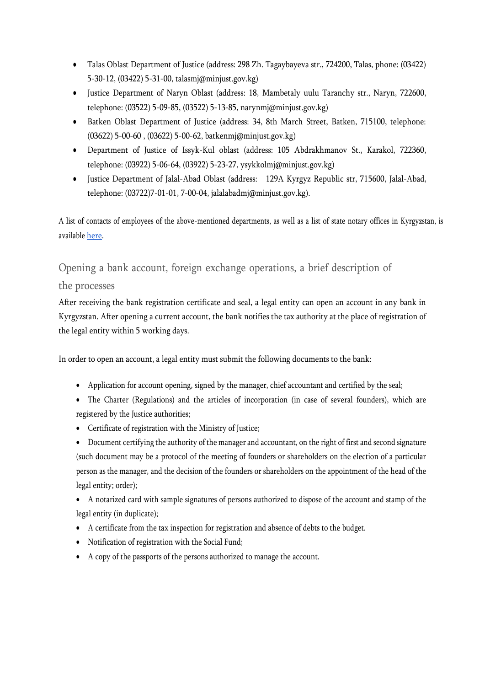- Talas Oblast Department of Justice (address: 298 Zh. Tagaybayeva str., 724200, Talas, phone: (03422) 5-30-12, (03422) 5-31-00, talasmj@minjust.gov.kg)
- Justice Department of Naryn Oblast (address: 18, Mambetaly uulu Taranchy str., Naryn, 722600, telephone: (03522) 5-09-85, (03522) 5-13-85, narynmj@minjust.gov.kg)
- Batken Oblast Department of Justice (address: 34, 8th March Street, Batken, 715100, telephone: (03622) 5-00-60 , (03622) 5-00-62, batkenmj@minjust.gov.kg)
- Department of Justice of Issyk-Kul oblast (address: 105 Abdrakhmanov St., Karakol, 722360, telephone: (03922) 5-06-64, (03922) 5-23-27, ysykkolmj@minjust.gov.kg)
- Justice Department of Jalal-Abad Oblast (address: 129A Kyrgyz Republic str, 715600, Jalal-Abad, telephone: (03722)7-01-01, 7-00-04, jalalabadmj@minjust.gov.kg).

A list of contacts of employees of the above-mentioned departments, as well as a list of state notary offices in Kyrgyzstan, is availabl[e here.](http://minjust.gov.kg/ru/content/136)

Opening a bank account, foreign exchange operations, a brief description of

### the processes

After receiving the bank registration certificate and seal, a legal entity can open an account in any bank in Kyrgyzstan. After opening a current account, the bank notifies the tax authority at the place of registration of the legal entity within 5 working days.

In order to open an account, a legal entity must submit the following documents to the bank:

- Application for account opening, signed by the manager, chief accountant and certified by the seal;
- The Charter (Regulations) and the articles of incorporation (in case of several founders), which are registered by the Justice authorities;
- Certificate of registration with the Ministry of Justice;
- Document certifying the authority of the manager and accountant, on the right of first and second signature (such document may be a protocol of the meeting of founders or shareholders on the election of a particular person as the manager, and the decision of the founders or shareholders on the appointment of the head of the legal entity; order);
- A notarized card with sample signatures of persons authorized to dispose of the account and stamp of the legal entity (in duplicate);
- A certificate from the tax inspection for registration and absence of debts to the budget.
- Notification of registration with the Social Fund;
- A copy of the passports of the persons authorized to manage the account.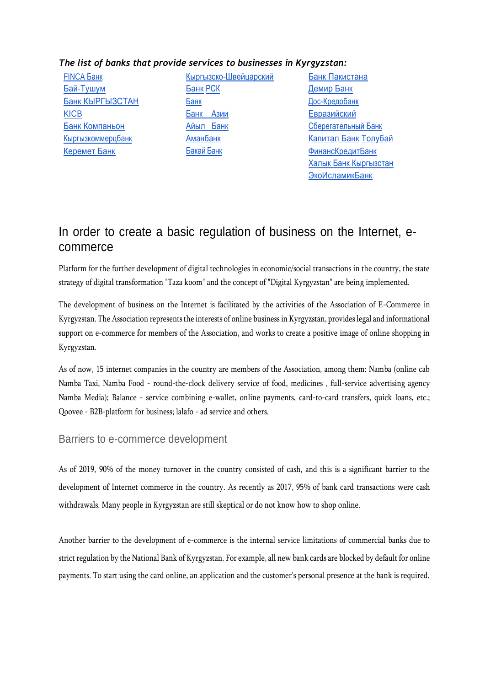#### *The list of banks that provide services to businesses in Kyrgyzstan:*

[FINCA](https://www.fincabank.kg/%d1%8e%d1%80%d0%b8%d0%b4%d0%b8%d1%87%d0%b5%d1%81%d0%ba%d0%b8%d0%bc-%d0%bb%d0%b8%d1%86%d0%b0%d0%bc-%d0%b8-%d0%b8%d0%bf/) Банк [Бай-Тушум](https://www.baitushum.kg/ru/sme/) [Банк КЫРГЫЗСТАН](https://www.cbk.kg/ru/corporate/cash-services) [KICB](https://en.kicb.net/products_and_services_corporate) [Банк Компаньон](https://www.kompanion.kg/ru/business/bank-account) [Кыргызкоммерцбанк](https://kkb.kg/) [Керемет Банк](https://keremetbank.kg/ru/business/open)

[Кыргызско-Швейцарский](https://www.ksbc.kg/corporate/rko) [Банк](https://www.ksbc.kg/corporate/rko) [РСК](https://www.rsk.kg/ru/ur/rko_ur)  [Банк](https://www.rsk.kg/ru/ur/rko_ur) [Банк Азии](https://www.bankasia.kg/ru/) [Айыл](https://ab.kg/bankovskie-uslugi-uridicheskim-licam) Банк [Аманбанк](http://www.amanbank.kg/?page_id=9) [Бакай](https://bakai.kg/ru/business/accounts/) Банк

[Банк Пакистана](http://nbp.kg/?lang=ru) [Демир Банк](https://www.demirbank.kg/ru/corporate) [Дос-Кредобанк](https://www.dcb.kg/ru/yuridichecskiye-litsa/) [Евразийский](https://esb.kg/raschetno-kassovoe-obsluzhivanie/) [Сберегательный Банк](https://esb.kg/raschetno-kassovoe-obsluzhivanie/) [Капитал Банк](https://www.capitalbank.kg/malyj-biznes-i-ip) [Толубай](https://www.tolubaybank.kg/ru/ficticious/account-management/) [ФинансКредитБанк](http://www.fkb.kg/) [Халык Банк Кыргызстан](http://halykbank.kg/business) [ЭкоИсламикБанк](https://eib.kg/static/iubills.html)

## In order to create a basic regulation of business on the Internet, ecommerce

Platform for the further development of digital technologies in economic/social transactions in the country, the state strategy of digital transformation "Taza koom" and the concept of "Digital Kyrgyzstan" are being implemented.

The development of business on the Internet is facilitated by the activities of the Association of E-Commerce in Kyrgyzstan. The Association represents the interests of online business in Kyrgyzstan, provides legal and informational support on e-commerce for members of the Association, and works to create a positive image of online shopping in Kyrgyzstan.

As of now, 15 internet companies in the country are members of the Association, among them: Namba (online cab Namba Taxi, Namba Food - round-the-clock delivery service of food, medicines , full-service advertising agency Namba Media); Balance - service combining e-wallet, online payments, card-to-card transfers, quick loans, etc.; Qoovee - B2B-platform for business; lalafo - ad service and others.

#### Barriers to e-commerce development

As of 2019, 90% of the money turnover in the country consisted of cash, and this is a significant barrier to the development of Internet commerce in the country. As recently as 2017, 95% of bank card transactions were cash withdrawals. Many people in Kyrgyzstan are still skeptical or do not know how to shop online.

Another barrier to the development of e-commerce is the internal service limitations of commercial banks due to strict regulation by the National Bank of Kyrgyzstan. For example, all new bank cards are blocked by default for online payments. To start using the card online, an application and the customer's personal presence at the bank is required.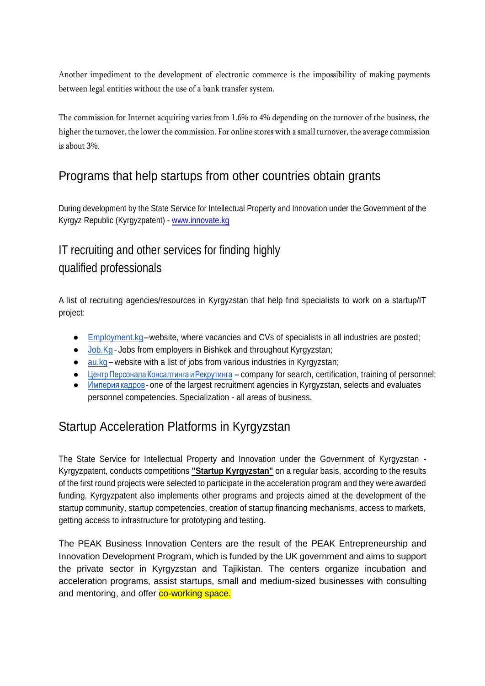Another impediment to the development of electronic commerce is the impossibility of making payments between legal entities without the use of a bank transfer system.

The commission for Internet acquiring varies from 1.6% to 4% depending on the turnover of the business, the higher the turnover, the lower the commission. For online stores with a small turnover, the average commission is about 3%.

## Programs that help startups from other countries obtain grants

During development by the State Service for Intellectual Property and Innovation under the Government of the Kyrgyz Republic (Kyrgyzpatent) - [www.innovate.kg](http://www.innovate.kg/) 

# IT recruiting and other services for finding highly qualified professionals

A list of recruiting agencies/resources in Kyrgyzstan that help find specialists to work on a startup/IT project:

- [Employment.kg–](https://www.employment.kg/)website, where vacancies and CVs of specialists in all industries are posted;
- [Job.Kg](https://www.job.kg/) Jobs from employers in Bishkek and throughout Kyrgyzstan;
- $\bullet$  [au.kg](https://au.kg/) website with a list of jobs from various industries in Kyrgyzstan;
- Центр Персонала Консалтинга [иРекрутинга](http://personalcentre.kg/) company for search, certification, training of personnel;
- [Империя](http://www.rabota.kg/) кадров one of the largest recruitment agencies in Kyrgyzstan, selects and evaluates personnel competencies. Specialization - all areas of business.

## Startup Acceleration Platforms in Kyrgyzstan

The State Service for Intellectual Property and Innovation under the Government of Kyrgyzstan - Kyrgyzpatent, conducts competitions **"Startup Kyrgyzstan"** on a regular basis, according to the results of the first round projects were selected to participate in the acceleration program and they were awarded funding. Kyrgyzpatent also implements other programs and projects aimed at the development of the startup community, startup competencies, creation of startup financing mechanisms, access to markets, getting access to infrastructure for prototyping and testing.

The PEAK Business Innovation Centers are the result of the PEAK Entrepreneurship and Innovation Development Program, which is funded by the UK government and aims to support the private sector in Kyrgyzstan and Tajikistan. The centers organize incubation and acceleration programs, assist startups, small and medium-sized businesses with consulting and mentoring, and offer co-working space.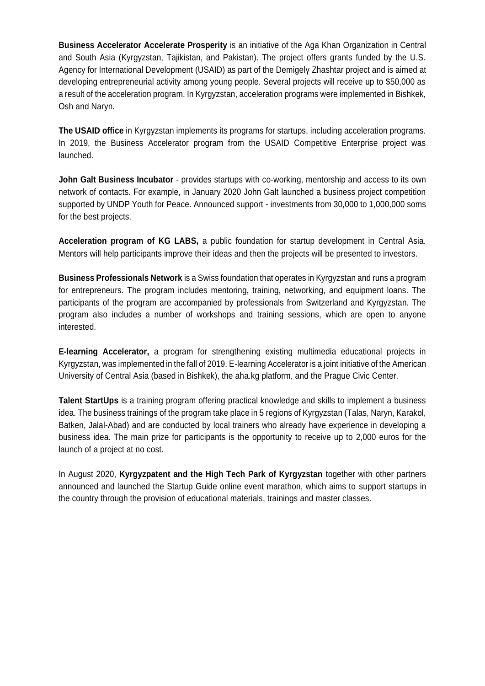**Business Accelerator Accelerate Prosperity** is an initiative of the Aga Khan Organization in Central and South Asia (Kyrgyzstan, Tajikistan, and Pakistan). The project offers grants funded by the U.S. Agency for International Development (USAID) as part of the Demigelү Zhashtar project and is aimed at developing entrepreneurial activity among young people. Several projects will receive up to \$50,000 as a result of the acceleration program. In Kyrgyzstan, acceleration programs were implemented in Bishkek, Osh and Naryn.

**The USAID office** in Kyrgyzstan implements its programs for startups, including acceleration programs. In 2019, the Business Accelerator program from the USAID Competitive Enterprise project was launched.

**John Galt Business Incubator** - provides startups with co-working, mentorship and access to its own network of contacts. For example, in January 2020 John Galt launched a business project competition supported by UNDP Youth for Peace. Announced support - investments from 30,000 to 1,000,000 soms for the best projects.

**Acceleration program of KG LABS,** a public foundation for startup development in Central Asia. Mentors will help participants improve their ideas and then the projects will be presented to investors.

**Business Professionals Network** is a Swiss foundation that operates in Kyrgyzstan and runs a program for entrepreneurs. The program includes mentoring, training, networking, and equipment loans. The participants of the program are accompanied by professionals from Switzerland and Kyrgyzstan. The program also includes a number of workshops and training sessions, which are open to anyone interested.

**E-learning Accelerator,** a program for strengthening existing multimedia educational projects in Kyrgyzstan, was implemented in the fall of 2019. E-learning Accelerator is a joint initiative of the American University of Central Asia (based in Bishkek), the aha.kg platform, and the Prague Civic Center.

**Talent StartUps** is a training program offering practical knowledge and skills to implement a business idea. The business trainings of the program take place in 5 regions of Kyrgyzstan (Talas, Naryn, Karakol, Batken, Jalal-Abad) and are conducted by local trainers who already have experience in developing a business idea. The main prize for participants is the opportunity to receive up to 2,000 euros for the launch of a project at no cost.

In August 2020, **Kyrgyzpatent and the High Tech Park of Kyrgyzstan** together with other partners announced and launched the Startup Guide online event marathon, which aims to support startups in the country through the provision of educational materials, trainings and master classes.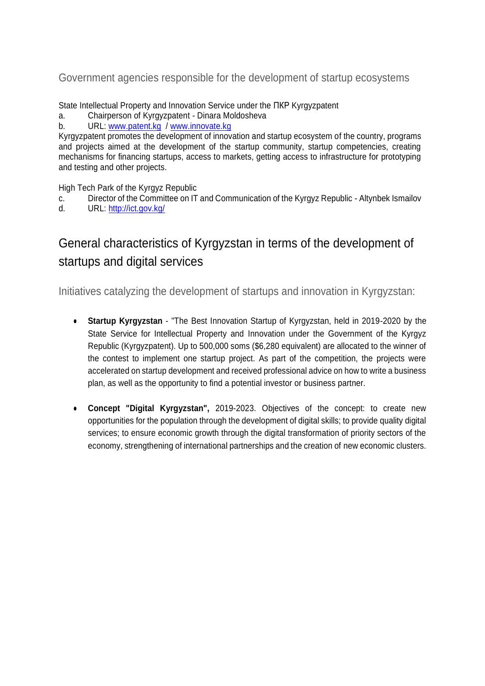Government agencies responsible for the development of startup ecosystems

State Intellectual Property and Innovation Service under the ПКР Kyrgyzpatent

- a. Chairperson of Kyrgyzpatent Dinara Moldosheva
- b. URL: [www.patent.kg](http://www.patent.kg/) / [www.innovate.kg](http://www.innovate.kg/)

Kyrgyzpatent promotes the development of innovation and startup ecosystem of the country, programs and projects aimed at the development of the startup community, startup competencies, creating mechanisms for financing startups, access to markets, getting access to infrastructure for prototyping and testing and other projects.

High Tech Park of the Kyrgyz Republic

- c. Director of the Committee on IT and Communication of the Kyrgyz Republic Altynbek Ismailov
- d. URL:<http://ict.gov.kg/>

# General characteristics of Kyrgyzstan in terms of the development of startups and digital services

Initiatives catalyzing the development of startups and innovation in Kyrgyzstan:

- **Startup Kyrgyzstan** "The Best Innovation Startup of Kyrgyzstan, held in 2019-2020 by the State Service for Intellectual Property and Innovation under the Government of the Kyrgyz Republic (Kyrgyzpatent). Up to 500,000 soms (\$6,280 equivalent) are allocated to the winner of the contest to implement one startup project. As part of the competition, the projects were accelerated on startup development and received professional advice on how to write a business plan, as well as the opportunity to find a potential investor or business partner.
- **Concept "Digital Kyrgyzstan",** 2019-2023. Objectives of the concept: to create new opportunities for the population through the development of digital skills; to provide quality digital services; to ensure economic growth through the digital transformation of priority sectors of the economy, strengthening of international partnerships and the creation of new economic clusters.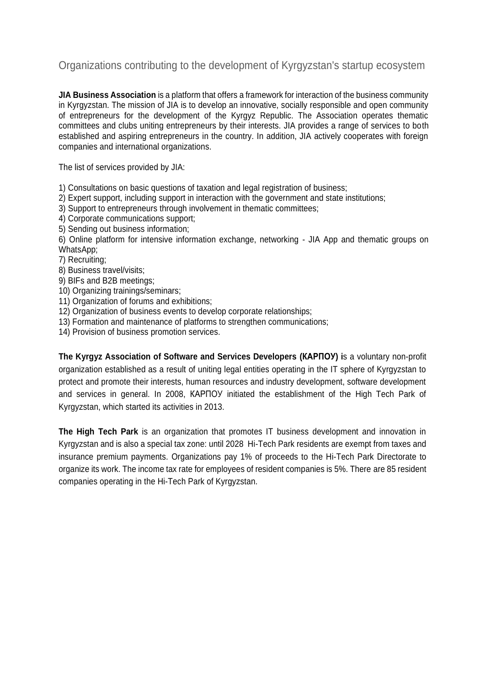### Organizations contributing to the development of Kyrgyzstan's startup ecosystem

**JIA Business Association** is a platform that offers a framework for interaction of the business community in Kyrgyzstan. The mission of JIA is to develop an innovative, socially responsible and open community of entrepreneurs for the development of the Kyrgyz Republic. The Association operates thematic committees and clubs uniting entrepreneurs by their interests. JIA provides a range of services to both established and aspiring entrepreneurs in the country. In addition, JIA actively cooperates with foreign companies and international organizations.

The list of services provided by JIA:

1) Consultations on basic questions of taxation and legal registration of business;

2) Expert support, including support in interaction with the government and state institutions;

3) Support to entrepreneurs through involvement in thematic committees;

- 4) Corporate communications support;
- 5) Sending out business information;

6) Online platform for intensive information exchange, networking - JIA App and thematic groups on WhatsApp;

7) Recruiting;

- 8) Business travel/visits;
- 9) BIFs and B2B meetings;
- 10) Organizing trainings/seminars;

11) Organization of forums and exhibitions;

- 12) Organization of business events to develop corporate relationships;
- 13) Formation and maintenance of platforms to strengthen communications;
- 14) Provision of business promotion services.

**The Kyrgyz Association of Software and Services Developers (КАРПОУ) i**s a voluntary non-profit organization established as a result of uniting legal entities operating in the IT sphere of Kyrgyzstan to protect and promote their interests, human resources and industry development, software development and services in general. In 2008, КАРПОУ initiated the establishment of the High Tech Park of Kyrgyzstan, which started its activities in 2013.

**The High Tech Park** is an organization that promotes IT business development and innovation in Kyrgyzstan and is also a special tax zone: until 2028 Hi-Tech Park residents are exempt from taxes and insurance premium payments. Organizations pay 1% of proceeds to the Hi-Tech Park Directorate to organize its work. The income tax rate for employees of resident companies is 5%. There are 85 resident companies operating in the Hi-Tech Park of Kyrgyzstan.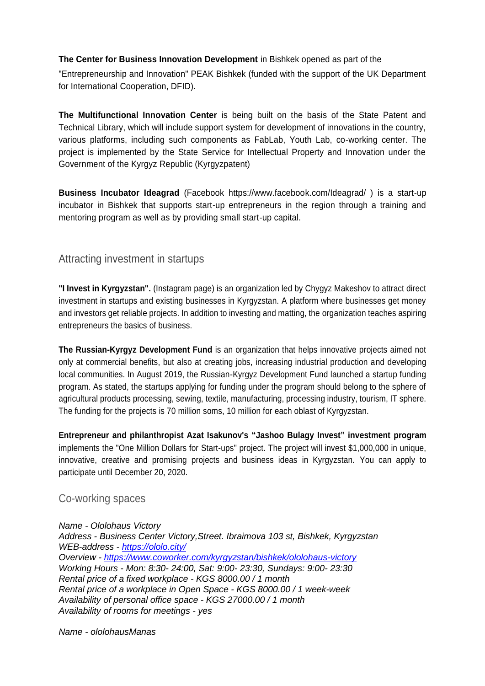#### **The Center for Business Innovation Development** in Bishkek opened as part of the

"Entrepreneurship and Innovation" PEAK Bishkek (funded with the support of the UK Department for International Cooperation, DFID).

**The Multifunctional Innovation Center** is being built on the basis of the State Patent and Technical Library, which will include support system for development of innovations in the country, various platforms, including such components as FabLab, Youth Lab, co-working center. The project is implemented by the State Service for Intellectual Property and Innovation under the Government of the Kyrgyz Republic (Kyrgyzpatent)

**Business Incubator Ideagrad** (Facebook https://www.facebook.com/Ideagrad/ ) is a start-up incubator in Bishkek that supports start-up entrepreneurs in the region through a training and mentoring program as well as by providing small start-up capital.

### Attracting investment in startups

**"I Invest in Kyrgyzstan".** (Instagram page) is an organization led by Chygyz Makeshov to attract direct investment in startups and existing businesses in Kyrgyzstan. A platform where businesses get money and investors get reliable projects. In addition to investing and matting, the organization teaches aspiring entrepreneurs the basics of business.

**The Russian-Kyrgyz Development Fund** is an organization that helps innovative projects aimed not only at commercial benefits, but also at creating jobs, increasing industrial production and developing local communities. In August 2019, the Russian-Kyrgyz Development Fund launched a startup funding program. As stated, the startups applying for funding under the program should belong to the sphere of agricultural products processing, sewing, textile, manufacturing, processing industry, tourism, IT sphere. The funding for the projects is 70 million soms, 10 million for each oblast of Kyrgyzstan.

**Entrepreneur and philanthropist Azat Isakunov's "Jashoo Bulagy Invest" investment program** implements the "One Million Dollars for Start-ups" project. The project will invest \$1,000,000 in unique, innovative, creative and promising projects and business ideas in Kyrgyzstan. You can apply to participate until December 20, 2020.

### Co-working spaces

*Name - Ololohaus Victory Address - Business Center Victory,Street. Ibraimova 103 st, Bishkek, Kyrgyzstan WEB-address - <https://ololo.city/> Overview - <https://www.coworker.com/kyrgyzstan/bishkek/ololohaus-victory> Working Hours - Mon: 8:30- 24:00, Sat: 9:00- 23:30, Sundays: 9:00- 23:30 Rental price of a fixed workplace - KGS 8000.00 / 1 month Rental price of a workplace in Open Space - KGS 8000.00 / 1 week-week Availability of personal office space - KGS 27000.00 / 1 month Availability of rooms for meetings - yes*

*Name - ololohausManas*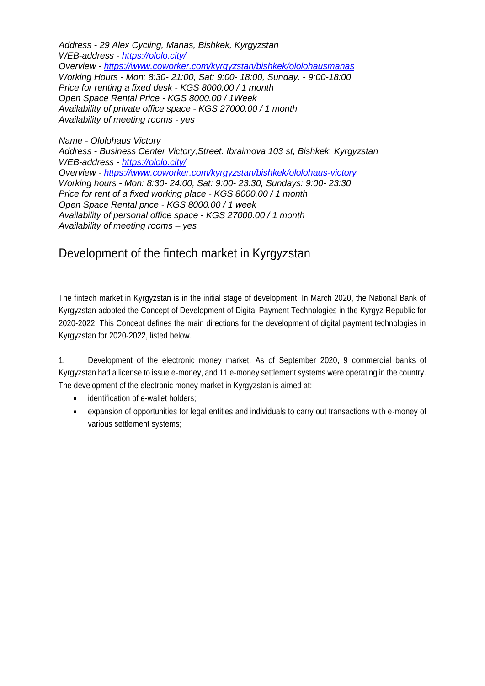*Address - 29 Alex Cycling, Manas, Bishkek, Kyrgyzstan WEB-address - <https://ololo.city/> Overview - <https://www.coworker.com/kyrgyzstan/bishkek/ololohausmanas> Working Hours - Mon: 8:30- 21:00, Sat: 9:00- 18:00, Sunday. - 9:00-18:00 Price for renting a fixed desk - KGS 8000.00 / 1 month Open Space Rental Price - KGS 8000.00 / 1Week Availability of private office space - KGS 27000.00 / 1 month Availability of meeting rooms - yes*

*Name - Ololohaus Victory Address - Business Center Victory,Street. Ibraimova 103 st, Bishkek, Kyrgyzstan WEB-address - <https://ololo.city/> Overview - <https://www.coworker.com/kyrgyzstan/bishkek/ololohaus-victory> Working hours - Mon: 8:30- 24:00, Sat: 9:00- 23:30, Sundays: 9:00- 23:30 Price for rent of a fixed working place - KGS 8000.00 / 1 month Open Space Rental price - KGS 8000.00 / 1 week Availability of personal office space - KGS 27000.00 / 1 month Availability of meeting rooms – yes*

### Development of the fintech market in Kyrgyzstan

The fintech market in Kyrgyzstan is in the initial stage of development. In March 2020, the National Bank of Kyrgyzstan adopted the Concept of Development of Digital Payment Technologies in the Kyrgyz Republic for 2020-2022. This Concept defines the main directions for the development of digital payment technologies in Kyrgyzstan for 2020-2022, listed below.

1. Development of the electronic money market. As of September 2020, 9 commercial banks of Kyrgyzstan had a license to issue e-money, and 11 e-money settlement systems were operating in the country. The development of the electronic money market in Kyrgyzstan is aimed at:

- identification of e-wallet holders;
- expansion of opportunities for legal entities and individuals to carry out transactions with e-money of various settlement systems;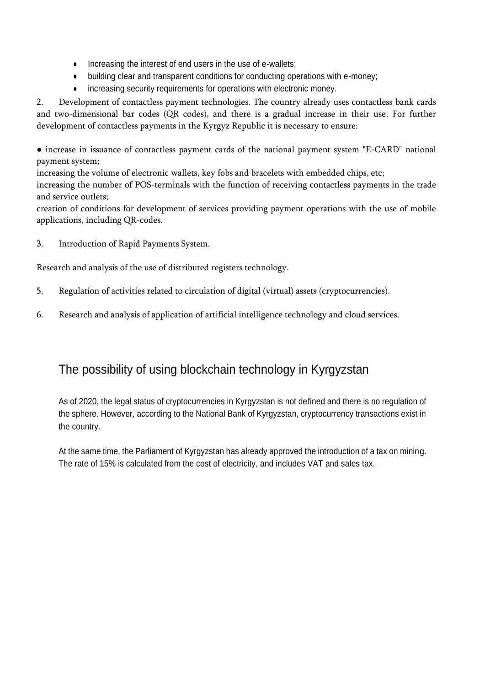- Increasing the interest of end users in the use of e-wallets;
- building clear and transparent conditions for conducting operations with e-money;
- increasing security requirements for operations with electronic money.

2. Development of contactless payment technologies. The country already uses contactless bank cards and two-dimensional bar codes (QR codes), and there is a gradual increase in their use. For further development of contactless payments in the Kyrgyz Republic it is necessary to ensure:

● increase in issuance of contactless payment cards of the national payment system "E-CARD" national payment system;

increasing the volume of electronic wallets, key fobs and bracelets with embedded chips, etc;

increasing the number of POS-terminals with the function of receiving contactless payments in the trade and service outlets;

creation of conditions for development of services providing payment operations with the use of mobile applications, including QR-codes.

3. Introduction of Rapid Payments System.

Research and analysis of the use of distributed registers technology.

- 5. Regulation of activities related to circulation of digital (virtual) assets (cryptocurrencies).
- 6. Research and analysis of application of artificial intelligence technology and cloud services.

## The possibility of using blockchain technology in Kyrgyzstan

As of 2020, the legal status of cryptocurrencies in Kyrgyzstan is not defined and there is no regulation of the sphere. However, according to the National Bank of Kyrgyzstan, cryptocurrency transactions exist in the country.

At the same time, the Parliament of Kyrgyzstan has already approved the introduction of a tax on mining. The rate of 15% is calculated from the cost of electricity, and includes VAT and sales tax.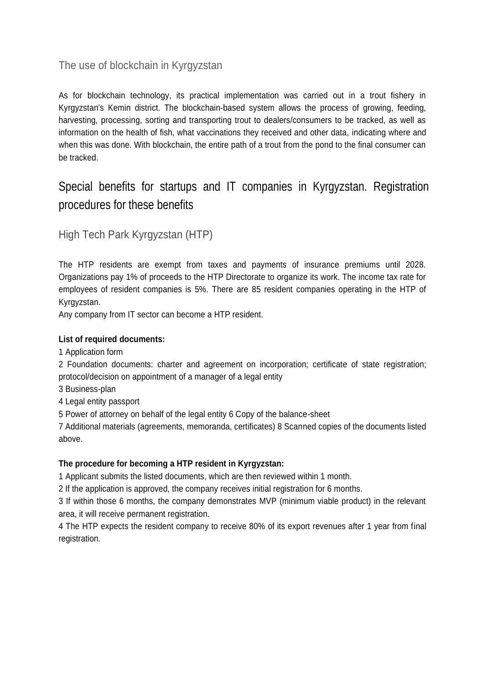### The use of blockchain in Kyrgyzstan

As for blockchain technology, its practical implementation was carried out in a trout fishery in Kyrgyzstan's Kemin district. The blockchain-based system allows the process of growing, feeding, harvesting, processing, sorting and transporting trout to dealers/consumers to be tracked, as well as information on the health of fish, what vaccinations they received and other data, indicating where and when this was done. With blockchain, the entire path of a trout from the pond to the final consumer can be tracked.

## Special benefits for startups and IT companies in Kyrgyzstan. Registration procedures for these benefits

High Tech Park Kyrgyzstan (HTP)

The HTP residents are exempt from taxes and payments of insurance premiums until 2028. Organizations pay 1% of proceeds to the HTP Directorate to organize its work. The income tax rate for employees of resident companies is 5%. There are 85 resident companies operating in the HTP of Kyrgyzstan.

Any company from IT sector can become a HTP resident.

#### **List of required documents:**

1 Application form

2 Foundation documents: charter and agreement on incorporation; certificate of state registration; protocol/decision on appointment of a manager of a legal entity

3 Business-plan

4 Legal entity passport

5 Power of attorney on behalf of the legal entity 6 Copy of the balance-sheet

7 Additional materials (agreements, memoranda, certificates) 8 Scanned copies of the documents listed above.

#### **The procedure for becoming a HTP resident in Kyrgyzstan:**

1 Applicant submits the listed documents, which are then reviewed within 1 month.

2 If the application is approved, the company receives initial registration for 6 months.

3 If within those 6 months, the company demonstrates MVP (minimum viable product) in the relevant area, it will receive permanent registration.

4 The HTP expects the resident company to receive 80% of its export revenues after 1 year from final registration.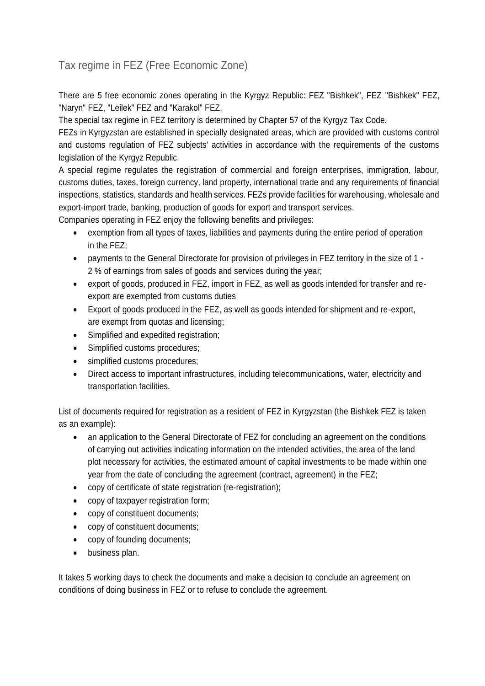### Tax regime in FEZ (Free Economic Zone)

There are 5 free economic zones operating in the Kyrgyz Republic: FEZ "Bishkek", FEZ "Bishkek" FEZ, "Naryn" FEZ, "Leilek" FEZ and "Karakol" FEZ.

The special tax regime in FEZ territory is determined by Chapter 57 of the Kyrgyz Tax Code.

FEZs in Kyrgyzstan are established in specially designated areas, which are provided with customs control and customs regulation of FEZ subjects' activities in accordance with the requirements of the customs legislation of the Kyrgyz Republic.

A special regime regulates the registration of commercial and foreign enterprises, immigration, labour, customs duties, taxes, foreign currency, land property, international trade and any requirements of financial inspections, statistics, standards and health services. FEZs provide facilities for warehousing, wholesale and export-import trade, banking, production of goods for export and transport services.

Companies operating in FEZ enjoy the following benefits and privileges:

- exemption from all types of taxes, liabilities and payments during the entire period of operation in the FEZ;
- payments to the General Directorate for provision of privileges in FEZ territory in the size of 1 2 % of earnings from sales of goods and services during the year;
- export of goods, produced in FEZ, import in FEZ, as well as goods intended for transfer and reexport are exempted from customs duties
- Export of goods produced in the FEZ, as well as goods intended for shipment and re-export, are exempt from quotas and licensing;
- Simplified and expedited registration;
- Simplified customs procedures;
- simplified customs procedures;
- Direct access to important infrastructures, including telecommunications, water, electricity and transportation facilities.

List of documents required for registration as a resident of FEZ in Kyrgyzstan (the Bishkek FEZ is taken as an example):

- an application to the General Directorate of FEZ for concluding an agreement on the conditions of carrying out activities indicating information on the intended activities, the area of the land plot necessary for activities, the estimated amount of capital investments to be made within one year from the date of concluding the agreement (contract, agreement) in the FEZ;
- copy of certificate of state registration (re-registration);
- copy of taxpayer registration form;
- copy of constituent documents;
- copy of constituent documents;
- copy of founding documents;
- business plan.

It takes 5 working days to check the documents and make a decision to conclude an agreement on conditions of doing business in FEZ or to refuse to conclude the agreement.